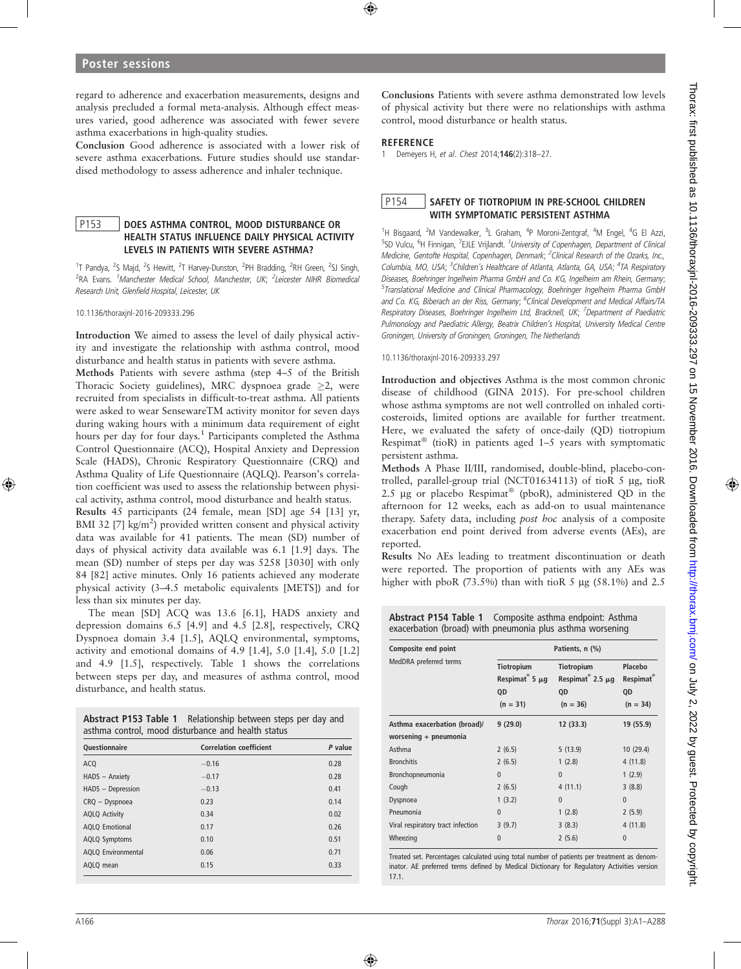regard to adherence and exacerbation measurements, designs and analysis precluded a formal meta-analysis. Although effect measures varied, good adherence was associated with fewer severe asthma exacerbations in high-quality studies.

Conclusion Good adherence is associated with a lower risk of severe asthma exacerbations. Future studies should use standardised methodology to assess adherence and inhaler technique.

## P153 | DOES ASTHMA CONTROL, MOOD DISTURBANCE OR HEALTH STATUS INFLUENCE DAILY PHYSICAL ACTIVITY LEVELS IN PATIENTS WITH SEVERE ASTHMA?

<sup>1</sup>T Pandya, <sup>2</sup>S Majd, <sup>2</sup>S Hewitt, <sup>2</sup>T Harvey-Dunston, <sup>2</sup>PH Bradding, <sup>2</sup>RH Green, <sup>2</sup>SJ Singh, <sup>2</sup>RA Evans. <sup>1</sup>Manchester Medical School, Manchester, UK; <sup>2</sup>Leicester NIHR Biomedical Research Unit, Glenfield Hospital, Leicester, UK

10.1136/thoraxjnl-2016-209333.296

Introduction We aimed to assess the level of daily physical activity and investigate the relationship with asthma control, mood disturbance and health status in patients with severe asthma.

Methods Patients with severe asthma (step 4–5 of the British Thoracic Society guidelines), MRC dyspnoea grade  $\geq$ 2, were recruited from specialists in difficult-to-treat asthma. All patients were asked to wear SensewareTM activity monitor for seven days during waking hours with a minimum data requirement of eight hours per day for four days.<sup>1</sup> Participants completed the Asthma Control Questionnaire (ACQ), Hospital Anxiety and Depression Scale (HADS), Chronic Respiratory Questionnaire (CRQ) and Asthma Quality of Life Questionnaire (AQLQ). Pearson's correlation coefficient was used to assess the relationship between physical activity, asthma control, mood disturbance and health status.

Results 45 participants (24 female, mean [SD] age 54 [13] yr, BMI 32 [7]  $\text{kg/m}^2$ ) provided written consent and physical activity data was available for 41 patients. The mean (SD) number of days of physical activity data available was 6.1 [1.9] days. The mean (SD) number of steps per day was 5258 [3030] with only 84 [82] active minutes. Only 16 patients achieved any moderate physical activity (3–4.5 metabolic equivalents [METS]) and for less than six minutes per day.

The mean [SD] ACQ was 13.6 [6.1], HADS anxiety and depression domains 6.5 [4.9] and 4.5 [2.8], respectively, CRQ Dyspnoea domain 3.4 [1.5], AQLQ environmental, symptoms, activity and emotional domains of  $4.9$  [1.4],  $5.0$  [1.4],  $5.0$  [1.2] and 4.9 [1.5], respectively. Table 1 shows the correlations between steps per day, and measures of asthma control, mood disturbance, and health status.

| Abstract P153 Table 1 Relationship between steps per day and |
|--------------------------------------------------------------|
| asthma control, mood disturbance and health status           |

| <b>Ouestionnaire</b>      | <b>Correlation coefficient</b> | P value |
|---------------------------|--------------------------------|---------|
| <b>ACQ</b>                | $-0.16$                        | 0.28    |
| HADS - Anxiety            | $-0.17$                        | 0.28    |
| HADS - Depression         | $-0.13$                        | 0.41    |
| CRQ - Dyspnoea            | 0.23                           | 0.14    |
| <b>AQLQ Activity</b>      | 0.34                           | 0.02    |
| <b>AQLQ Emotional</b>     | 0.17                           | 0.26    |
| <b>AQLQ Symptoms</b>      | 0.10                           | 0.51    |
| <b>AQLQ Environmental</b> | 0.06                           | 0.71    |
| AQLQ mean                 | 0.15                           | 0.33    |

Conclusions Patients with severe asthma demonstrated low levels of physical activity but there were no relationships with asthma control, mood disturbance or health status.

#### **REFERENCE**

1 Demeyers H, et al. Chest 2014;146(2):318–27.

# P154 SAFETY OF TIOTROPIUM IN PRE-SCHOOL CHILDREN WITH SYMPTOMATIC PERSISTENT ASTHMA

<sup>1</sup>H Bisgaard, <sup>2</sup>M Vandewalker, <sup>3</sup>L Graham, <sup>4</sup>P Moroni-Zentgraf, <sup>4</sup>M Engel, <sup>4</sup>G El Azzi, <sup>5</sup>SD Vulcu, <sup>6</sup>H Finnigan, <sup>7</sup>EJLE Vrijlandt. <sup>1</sup>University of Copenhagen, Department of Clinical Medicine, Gentofte Hospital, Copenhagen, Denmark; <sup>2</sup>Clinical Research of the Ozarks, Inc., Columbia, MO, USA; <sup>3</sup>Children's Healthcare of Atlanta, Atlanta, GA, USA; <sup>4</sup>TA Respiratory Diseases, Boehringer Ingelheim Pharma GmbH and Co. KG, Ingelheim am Rhein, Germany; <sup>5</sup>Translational Medicine and Clinical Pharmacology, Boehringer Ingelheim Pharma GmbH and Co. KG, Biberach an der Riss, Germany; <sup>6</sup>Clinical Development and Medical Affairs/TA Respiratory Diseases, Boehringer Ingelheim Ltd, Bracknell, UK; <sup>7</sup>Department of Paediatric Pulmonology and Paediatric Allergy, Beatrix Children's Hospital, University Medical Centre Groningen, University of Groningen, Groningen, The Netherlands

10.1136/thoraxjnl-2016-209333.297

Introduction and objectives Asthma is the most common chronic disease of childhood (GINA 2015). For pre-school children whose asthma symptoms are not well controlled on inhaled corticosteroids, limited options are available for further treatment. Here, we evaluated the safety of once-daily (QD) tiotropium Respimat<sup>®</sup> (tioR) in patients aged  $1-5$  years with symptomatic persistent asthma.

Methods A Phase II/III, randomised, double-blind, placebo-controlled, parallel-group trial (NCT01634113) of tioR  $5 \mu$ g, tioR 2.5  $\mu$ g or placebo Respimat<sup>®</sup> (pboR), administered QD in the afternoon for 12 weeks, each as add-on to usual maintenance therapy. Safety data, including post hoc analysis of a composite exacerbation end point derived from adverse events (AEs), are reported.

Results No AEs leading to treatment discontinuation or death were reported. The proportion of patients with any AEs was higher with pboR (73.5%) than with tioR 5  $\mu$ g (58.1%) and 2.5

## Abstract P154 Table 1 Composite asthma endpoint: Asthma exacerbation (broad) with pneumonia plus asthma worsening

| Composite end point               | Patients, n (%)                                             |                                                                   |                                         |  |
|-----------------------------------|-------------------------------------------------------------|-------------------------------------------------------------------|-----------------------------------------|--|
| MedDRA preferred terms            | <b>Tiotropium</b><br>Respimat $5 \mu g$<br>QD<br>$(n = 31)$ | Tiotropium<br>Respimat $^{\circ}$ 2.5 $\mu$ q<br>QD<br>$(n = 36)$ | Placebo<br>Respimat<br>QD<br>$(n = 34)$ |  |
| Asthma exacerbation (broad)/      | 9(29.0)                                                     | 12 (33.3)                                                         | 19 (55.9)                               |  |
| worsening + pneumonia             |                                                             |                                                                   |                                         |  |
| Asthma                            | 2(6.5)                                                      | 5(13.9)                                                           | 10(29.4)                                |  |
| <b>Bronchitis</b>                 | 2(6.5)                                                      | 1(2.8)                                                            | 4(11.8)                                 |  |
| Bronchopneumonia                  | $\theta$                                                    | $\mathbf{0}$                                                      | 1(2.9)                                  |  |
| Cough                             | 2(6.5)                                                      | 4(11.1)                                                           | 3(8.8)                                  |  |
| Dyspnoea                          | 1(3.2)                                                      | $\mathbf{0}$                                                      | $\mathbf{0}$                            |  |
| Pneumonia                         | $\theta$                                                    | 1(2.8)                                                            | 2(5.9)                                  |  |
| Viral respiratory tract infection | 3(9.7)                                                      | 3(8.3)                                                            | 4(11.8)                                 |  |
| Wheezing                          | $\Omega$                                                    | 2(5.6)                                                            | $\Omega$                                |  |

Treated set. Percentages calculated using total number of patients per treatment as denominator. AE preferred terms defined by Medical Dictionary for Regulatory Activities version 17.1.